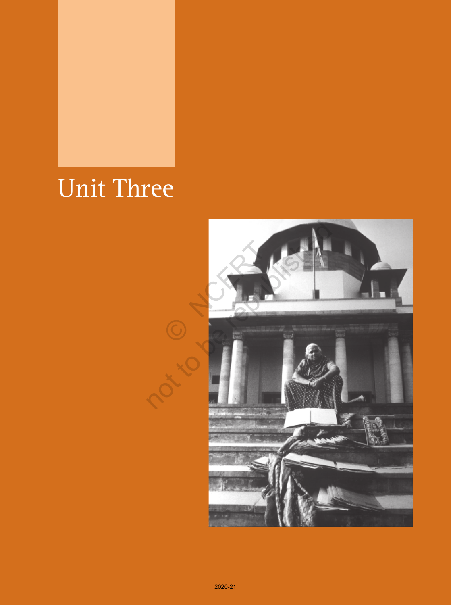# Unit Three

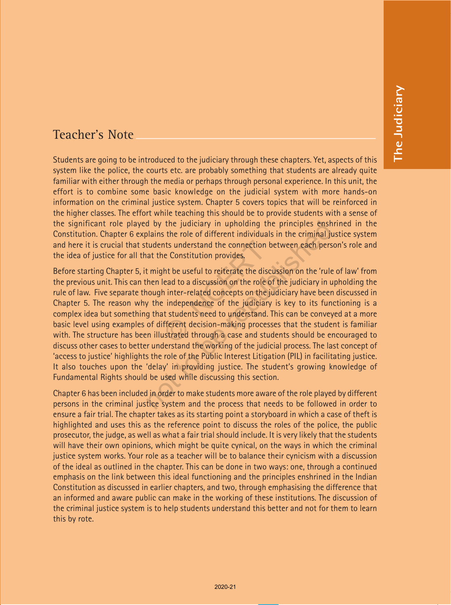### Teacher's Note

Students are going to be introduced to the judiciary through these chapters. Yet, aspects of this system like the police, the courts etc. are probably something that students are already quite familiar with either through the media or perhaps through personal experience. In this unit, the effort is to combine some basic knowledge on the judicial system with more hands-on information on the criminal justice system. Chapter 5 covers topics that will be reinforced in the higher classes. The effort while teaching this should be to provide students with a sense of the significant role played by the judiciary in upholding the principles enshrined in the Constitution. Chapter 6 explains the role of different individuals in the criminal justice system and here it is crucial that students understand the connection between each person's role and the idea of justice for all that the Constitution provides.

Before starting Chapter 5, it might be useful to reiterate the discussion on the 'rule of law' from the previous unit. This can then lead to a discussion on the role of the judiciary in upholding the rule of law. Five separate though inter-related concepts on the judiciary have been discussed in Chapter 5. The reason why the independence of the judiciary is key to its functioning is a complex idea but something that students need to understand. This can be conveyed at a more basic level using examples of different decision-making processes that the student is familiar with. The structure has been illustrated through a case and students should be encouraged to discuss other cases to better understand the working of the judicial process. The last concept of 'access to justice' highlights the role of the Public Interest Litigation (PIL) in facilitating justice. It also touches upon the 'delay' in providing justice. The student's growing knowledge of Fundamental Rights should be used while discussing this section. nts understand the connection be<br>
in Constitution provides.<br>
ht be useful to reiterate the discursed to a discussion on the role of<br>
inter-related concepts on the ju<br>
independence of the judiciary<br>
independence of the judi d by the judiciary in upholding the principles ensh<br>plains the role of different individuals in the criminal ju<br>tudents understand the connection between each pers<br>at the Constitution provides.<br>t might be useful to reitera

Chapter 6 has been included in order to make students more aware of the role played by different persons in the criminal justice system and the process that needs to be followed in order to ensure a fair trial. The chapter takes as its starting point a storyboard in which a case of theft is highlighted and uses this as the reference point to discuss the roles of the police, the public prosecutor, the judge, as well as what a fair trial should include. It is very likely that the students will have their own opinions, which might be quite cynical, on the ways in which the criminal justice system works. Your role as a teacher will be to balance their cynicism with a discussion of the ideal as outlined in the chapter. This can be done in two ways: one, through a continued emphasis on the link between this ideal functioning and the principles enshrined in the Indian Constitution as discussed in earlier chapters, and two, through emphasising the difference that an informed and aware public can make in the working of these institutions. The discussion of the criminal justice system is to help students understand this better and not for them to learn this by rote.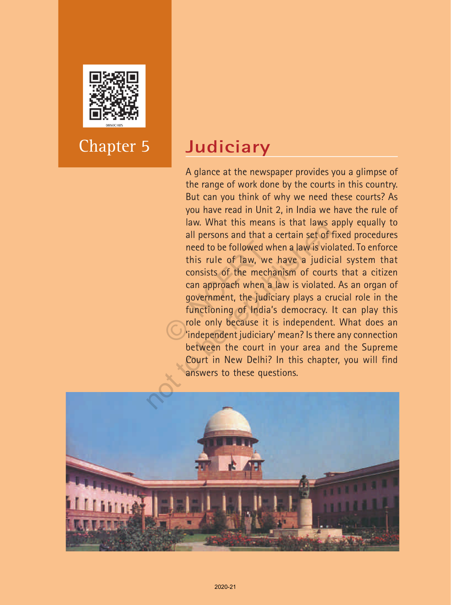

## Chapter 5

## **Judiciary**

A glance at the newspaper provides you a glimpse of the range of work done by the courts in this country. But can you think of why we need these courts? As you have read in Unit 2, in India we have the rule of law. What this means is that laws apply equally to all persons and that a certain set of fixed procedures need to be followed when a law is violated. To enforce this rule of law, we have a judicial system that consists of the mechanism of courts that a citizen can approach when a law is violated. As an organ of government, the judiciary plays a crucial role in the functioning of India's democracy. It can play this role only because it is independent. What does an 'independent judiciary' mean? Is there any connection between the court in your area and the Supreme Court in New Delhi? In this chapter, you will find answers to these questions. need to be followed where this rule of law, we consists of the mechanical can approach when a government, the judic functioning of India's role only because it is independent judiciary law. What this means is that laws a<br>all persons and that a certain set of<br>need to be followed when a law is vio<br>this rule of law, we have a judic<br>consists of the mechanism of court<br>can approach when a law is violated<br>gover

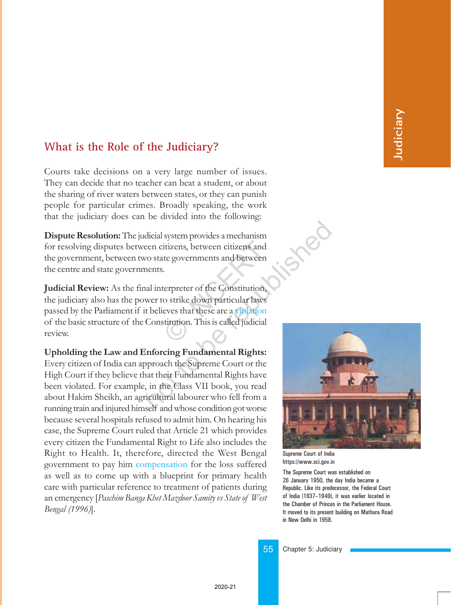#### **What is the Role of the Judiciary?**

Courts take decisions on a very large number of issues. They can decide that no teacher can beat a student, or about the sharing of river waters between states, or they can punish people for particular crimes. Broadly speaking, the work that the judiciary does can be divided into the following:

Dispute Resolution: The judicial system provides a mechanism for resolving disputes between citizens, between citizens and the government, between two state governments and between the centre and state governments.

Judicial Review: As the final interpreter of the Constitution, the judiciary also has the power to strike down particular laws passed by the Parliament if it believes that these are a violation of the basic structure of the Constitution. This is called judicial review. itizens, between citizens and<br>tte governments and between<br>.<br>terpreter of the Constitution,<br>o strike down particular laws<br>eves that these are a violation<br>stitution. This is called judicial

Upholding the Law and Enforcing Fundamental Rights: Every citizen of India can approach the Supreme Court or the High Court if they believe that their Fundamental Rights have been violated. For example, in the Class VII book, you read about Hakim Sheikh, an agricultural labourer who fell from a running train and injured himself and whose condition got worse because several hospitals refused to admit him. On hearing his case, the Supreme Court ruled that Article 21 which provides every citizen the Fundamental Right to Life also includes the Right to Health. It, therefore, directed the West Bengal government to pay him compensation for the loss suffered as well as to come up with a blueprint for primary health care with particular reference to treatment of patients during an emergency [Paschim Banga Khet Mazdoor Samity vs State of West Bengal (1996)]. dicial system provides a mechanism<br>
een citizens, between citizens and<br>
co state governments and between<br>
ents.<br>
al interpreter of the Constitution<br>
wer to strike down particular laws<br>
believes that these are a violation<br>



Supreme Court of India https://www.sci.gov.in

The Supreme Court was established on 26 January 1950, the day India became a Republic. Like its predecessor, the Federal Court of India (1937-1949), it was earlier located in the Chamber of Princes in the Parliament House. It moved to its present building on Mathura Road in New Delhi in 1958.

55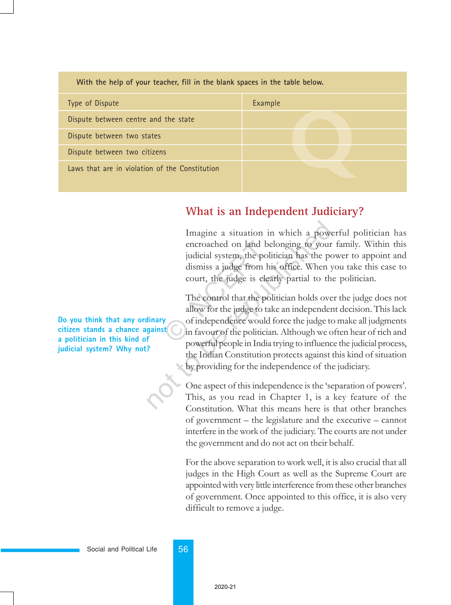| With the help of your teacher, fill in the blank spaces in the table below. |         |  |  |  |
|-----------------------------------------------------------------------------|---------|--|--|--|
| Type of Dispute                                                             | Example |  |  |  |
| Dispute between centre and the state                                        |         |  |  |  |
| Dispute between two states                                                  |         |  |  |  |
| Dispute between two citizens                                                |         |  |  |  |
| Laws that are in violation of the Constitution                              |         |  |  |  |

#### **What is an Independent Judiciary?**

Imagine a situation in which a powerful politician has encroached on land belonging to your family. Within this judicial system, the politician has the power to appoint and dismiss a judge from his office. When you take this case to court, the judge is clearly partial to the politician.

The control that the politician holds over the judge does not allow for the judge to take an independent decision. This lack of independence would force the judge to make all judgments in favour of the politician. Although we often hear of rich and powerful people in India trying to influence the judicial process, the Indian Constitution protects against this kind of situation by providing for the independence of the judiciary. encroached on land bel<br>
judicial system, the polit<br>
dismiss a judge from his<br>
court, the judge is clear<br>
The control that the polit<br>
allow for the judge to tak<br>
of independence would f<br>
in favour of the politician<br>
powerfu Imagine a situation in which a power encroached on land belonging to your judicial system, the politician has the politician has the politician has the politician has the politician has the politician holds over allow for

One aspect of this independence is the 'separation of powers'. This, as you read in Chapter 1, is a key feature of the Constitution. What this means here is that other branches of government  $-$  the legislature and the executive  $-$  cannot interfere in the work of the judiciary. The courts are not under the government and do not act on their behalf.

For the above separation to work well, it is also crucial that all judges in the High Court as well as the Supreme Court are appointed with very little interference from these other branches of government. Once appointed to this office, it is also very difficult to remove a judge.

**Do you think that any ordinary citizen stands a chance against a politician in this kind of judicial system? Why not?**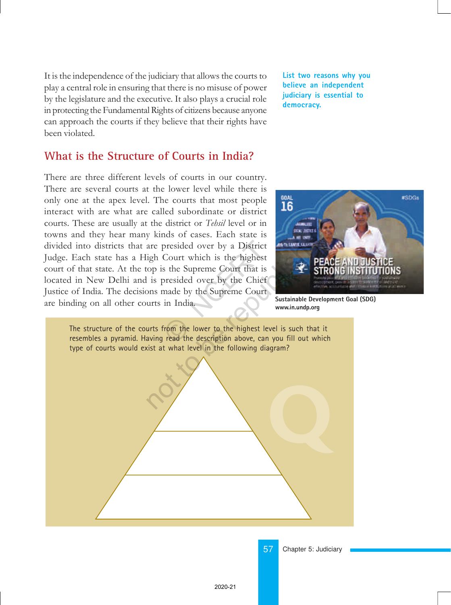It is the independence of the judiciary that allows the courts to play a central role in ensuring that there is no misuse of power by the legislature and the executive. It also plays a crucial role in protecting the Fundamental Rights of citizens because anyone can approach the courts if they believe that their rights have been violated.

#### **What is the Structure of Courts in India?**

There are three different levels of courts in our country. There are several courts at the lower level while there is only one at the apex level. The courts that most people interact with are what are called subordinate or district courts. These are usually at the district or Tehsil level or in towns and they hear many kinds of cases. Each state is divided into districts that are presided over by a District Judge. Each state has a High Court which is the highest court of that state. At the top is the Supreme Court that is located in New Delhi and is presided over by the Chief Justice of India. The decisions made by the Supreme Court are binding on all other courts in India. presided over by a District<br>Court which is the highest<br>s the Supreme Court that is<br>presided over by the Chief<br>made by the Supreme Court<br>in India.<br>From the lower to the highest leve<br>read the description above, can y **List two reasons why you believe an independent judiciary is essential to democracy.**



**Sustainable Development Goal (SDG) www.in.undp.org**



Chapter 5: Judiciary

57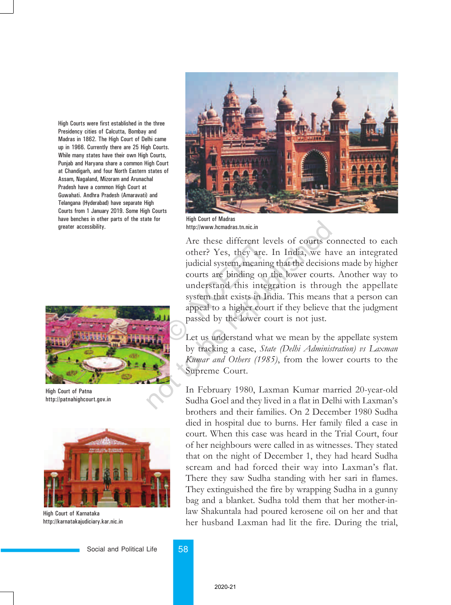High Courts were first established in the three Presidency cities of Calcutta, Bombay and Madras in 1862. The High Court of Delhi came up in 1966. Currently there are 25 High Courts. While many states have their own High Courts, Punjab and Haryana share a common High Court at Chandigarh, and four North Eastern states of Assam, Nagaland, Mizoram and Arunachal Pradesh have a common High Court at Guwahati. Andhra Pradesh (Amaravati) and Telangana (Hyderabad) have separate High Courts from 1 January 2019. Some High Courts have benches in other parts of the state for greater accessibility.



High Court of Patna http://patnahighcourt.gov.in



High Court of Karnataka http://karnatakajudiciary.kar.nic.in



High Court of Madras http://www.hcmadras.tn.nic.in

Are these different levels of courts connected to each other? Yes, they are. In India, we have an integrated judicial system, meaning that the decisions made by higher courts are binding on the lower courts. Another way to understand this integration is through the appellate system that exists in India. This means that a person can appeal to a higher court if they believe that the judgment passed by the lower court is not just. Are these different lev<br>
other? Yes, they are. I<br>
judicial system, meaning<br>
courts are binding on t<br>
understand this integr<br>
system that exists in Inc<br>
appeal to a higher court<br>
passed by the lower court<br>
Let us understand not of the literature in the literature and solution the literature and the republished as stemme of the republished as included a system, meaning that the decision courts are binding on the lower courts understand this in

Let us understand what we mean by the appellate system by tracking a case, State (Delhi Administration) vs Laxman Kumar and Others (1985), from the lower courts to the Supreme Court.

In February 1980, Laxman Kumar married 20-year-old Sudha Goel and they lived in a flat in Delhi with Laxman's brothers and their families. On 2 December 1980 Sudha died in hospital due to burns. Her family filed a case in court. When this case was heard in the Trial Court, four of her neighbours were called in as witnesses. They stated that on the night of December 1, they had heard Sudha scream and had forced their way into Laxman's flat. There they saw Sudha standing with her sari in flames. They extinguished the fire by wrapping Sudha in a gunny bag and a blanket. Sudha told them that her mother-inlaw Shakuntala had poured kerosene oil on her and that her husband Laxman had lit the fire. During the trial,

Social and Political Life 58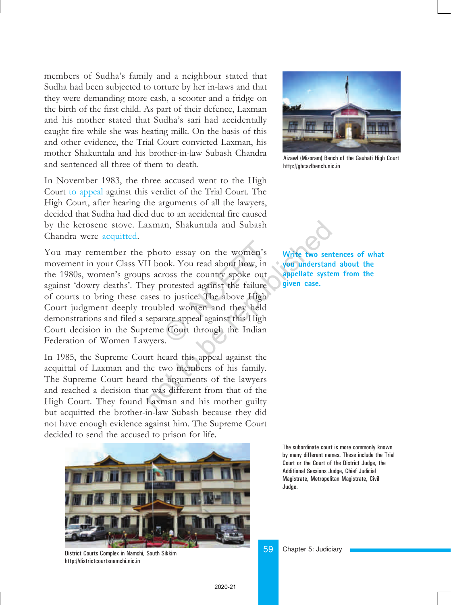members of Sudha's family and a neighbour stated that Sudha had been subjected to torture by her in-laws and that they were demanding more cash, a scooter and a fridge on the birth of the first child. As part of their defence, Laxman and his mother stated that Sudha's sari had accidentally caught fire while she was heating milk. On the basis of this and other evidence, the Trial Court convicted Laxman, his mother Shakuntala and his brother-in-law Subash Chandra and sentenced all three of them to death.

In November 1983, the three accused went to the High Court to appeal against this verdict of the Trial Court. The High Court, after hearing the arguments of all the lawyers, decided that Sudha had died due to an accidental fire caused by the kerosene stove. Laxman, Shakuntala and Subash Chandra were acquitted.

You may remember the photo essay on the women's movement in your Class VII book. You read about how, in the 1980s, women's groups across the country spoke out against 'dowry deaths'. They protested against the failure of courts to bring these cases to justice. The above High Court judgment deeply troubled women and they held demonstrations and filed a separate appeal against this High Court decision in the Supreme Court through the Indian Federation of Women Lawyers. to essay on the women's<br>bok. You read about how, in<br>ross the country spoke out<br>protested against the failure<br>to justice. The above High<br>led women and they held<br>rate appeal against this High<br>e Court through the Indian<br>s. Incomentative worker and Subash<br>photo essay on the women's<br>II book. You read about how, in<br>sacross the country spoke out<br>appellate syste<br>ey protested against the failure<br>sesses to justice. The above High<br>coubled women and

In 1985, the Supreme Court heard this appeal against the acquittal of Laxman and the two members of his family. The Supreme Court heard the arguments of the lawyers and reached a decision that was different from that of the High Court. They found Laxman and his mother guilty but acquitted the brother-in-law Subash because they did not have enough evidence against him. The Supreme Court decided to send the accused to prison for life.



District Courts Complex in Namchi, South Sikkim http://districtcourtsnamchi.nic.in



Aizawl (Mizoram) Bench of the Gauhati High Court http://ghcazlbench.nic.in



**Write two sentences of what you understand about the appellate system from the given case.**

The subordinate court is more commonly known by many different names. These include the Trial Court or the Court of the District Judge, the Additional Sessions Judge, Chief Judicial Magistrate, Metropolitan Magistrate, Civil Judge.

2020-21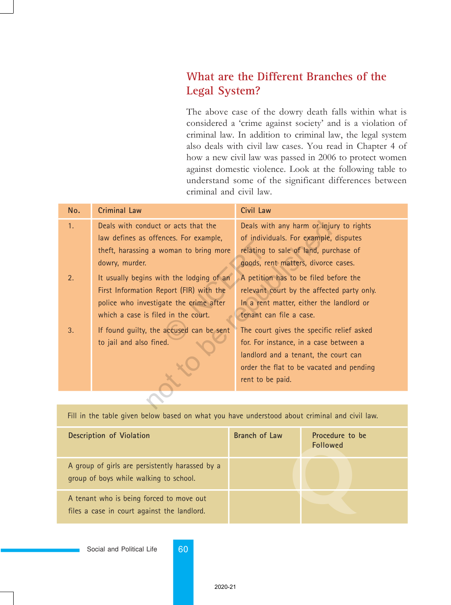### **What are the Different Branches of the Legal System?**

The above case of the dowry death falls within what is considered a 'crime against society' and is a violation of criminal law. In addition to criminal law, the legal system also deals with civil law cases. You read in Chapter 4 of how a new civil law was passed in 2006 to protect women against domestic violence. Look at the following table to understand some of the significant differences between criminal and civil law.

| No. | <b>Criminal Law</b>                      | Civil Law                                  |  |  |  |
|-----|------------------------------------------|--------------------------------------------|--|--|--|
| 1.  | Deals with conduct or acts that the      | Deals with any harm or injury to rights    |  |  |  |
|     | law defines as offences. For example,    | of individuals. For example, disputes      |  |  |  |
|     | theft, harassing a woman to bring more   | relating to sale of land, purchase of      |  |  |  |
|     | dowry, murder.                           | goods, rent matters, divorce cases.        |  |  |  |
| 2.  | It usually begins with the lodging of an | A petition has to be filed before the      |  |  |  |
|     | First Information Report (FIR) with the  | relevant court by the affected party only. |  |  |  |
|     | police who investigate the crime after   | In a rent matter, either the landlord or   |  |  |  |
|     | which a case is filed in the court.      | tenant can file a case.                    |  |  |  |
| 3.  | If found guilty, the accused can be sent | The court gives the specific relief asked  |  |  |  |
|     | to jail and also fined.                  | for. For instance, in a case between a     |  |  |  |
|     |                                          | landlord and a tenant, the court can       |  |  |  |
|     |                                          | order the flat to be vacated and pending   |  |  |  |
|     |                                          | rent to be paid.                           |  |  |  |
|     |                                          |                                            |  |  |  |
|     |                                          |                                            |  |  |  |

Fill in the table given below based on what you have understood about criminal and civil law.

| Description of Violation                                                                  | Branch of Law | Procedure to be<br><b>Followed</b> |
|-------------------------------------------------------------------------------------------|---------------|------------------------------------|
| A group of girls are persistently harassed by a<br>group of boys while walking to school. |               |                                    |
| A tenant who is being forced to move out<br>files a case in court against the landlord.   |               |                                    |

Social and Political Life 60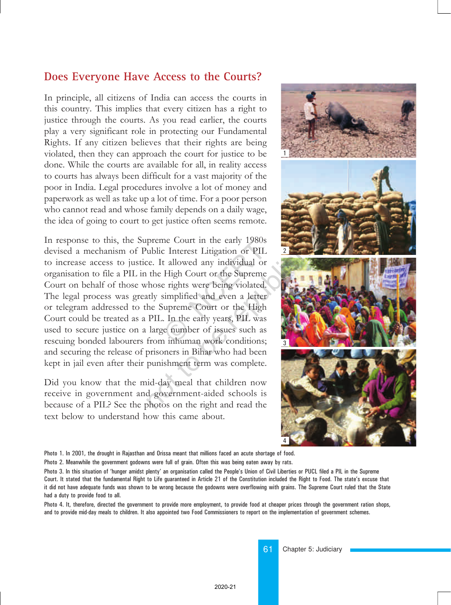#### **Does Everyone Have Access to the Courts?**

In principle, all citizens of India can access the courts in this country. This implies that every citizen has a right to justice through the courts. As you read earlier, the courts play a very significant role in protecting our Fundamental Rights. If any citizen believes that their rights are being violated, then they can approach the court for justice to be done. While the courts are available for all, in reality access to courts has always been difficult for a vast majority of the poor in India. Legal procedures involve a lot of money and paperwork as well as take up a lot of time. For a poor person who cannot read and whose family depends on a daily wage, the idea of going to court to get justice often seems remote.

In response to this, the Supreme Court in the early 1980s devised a mechanism of Public Interest Litigation or PIL to increase access to justice. It allowed any individual or organisation to file a PIL in the High Court or the Supreme Court on behalf of those whose rights were being violated. The legal process was greatly simplified and even a letter or telegram addressed to the Supreme Court or the High Court could be treated as a PIL. In the early years, PIL was used to secure justice on a large number of issues such as rescuing bonded labourers from inhuman work conditions; and securing the release of prisoners in Bihar who had been kept in jail even after their punishment term was complete. The Court in the early 1980s<br>
C Interest Litigation or PIL<br>
t allowed any individual or<br>
High Court or the Supreme<br>
e rights were being violated.<br>
simplified and even a letter<br>
iupreme Court or the High<br>
D. In the early ye The preme Court in the early 1980s<br>preme Court in the early 1980s<br>ublic Interest Litigation or PIL<br>ce. It allowed any individual or<br>the High Court or the Supreme<br>whose rights were being violated.<br>ulty simplified and even a

Did you know that the mid-day meal that children now receive in government and government-aided schools is because of a PIL? See the photos on the right and read the text below to understand how this came about.



Photo 1. In 2001, the drought in Rajasthan and Orissa meant that millions faced an acute shortage of food.

Photo 2. Meanwhile the government godowns were full of grain. Often this was being eaten away by rats.

Photo 3. In this situation of 'hunger amidst plenty' an organisation called the People's Union of Civil Liberties or PUCL filed a PIL in the Supreme Court. It stated that the fundamental Right to Life guaranteed in Article 21 of the Constitution included the Right to Food. The stateís excuse that it did not have adequate funds was shown to be wrong because the godowns were overflowing with grains. The Supreme Court ruled that the State had a duty to provide food to all.

Photo 4. It, therefore, directed the government to provide more employment, to provide food at cheaper prices through the government ration shops, and to provide mid-day meals to children. It also appointed two Food Commissioners to report on the implementation of government schemes.

> 61 Chapter 5: Judiciary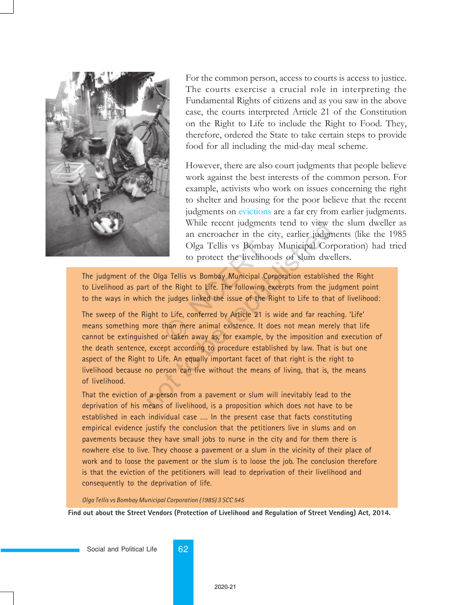

For the common person, access to courts is access to justice. The courts exercise a crucial role in interpreting the Fundamental Rights of citizens and as you saw in the above case, the courts interpreted Article 21 of the Constitution on the Right to Life to include the Right to Food. They, therefore, ordered the State to take certain steps to provide food for all including the mid-day meal scheme.

However, there are also court judgments that people believe work against the best interests of the common person. For example, activists who work on issues concerning the right to shelter and housing for the poor believe that the recent judgments on evictions are a far cry from earlier judgments. While recent judgments tend to view the slum dweller as an encroacher in the city, earlier judgments (like the 1985 Olga Tellis vs Bombay Municipal Corporation) had tried to protect the livelihoods of slum dwellers.

The judgment of the Olga Tellis vs Bombay Municipal Corporation established the Right to Livelihood as part of the Right to Life. The following excerpts from the judgment point to the ways in which the judges linked the issue of the Right to Life to that of livelihood:

The sweep of the Right to Life, conferred by Article 21 is wide and far reaching. 'Life' means something more than mere animal existence. It does not mean merely that life cannot be extinguished or taken away as, for example, by the imposition and execution of the death sentence, except according to procedure established by law. That is but one aspect of the Right to Life. An equally important facet of that right is the right to livelihood because no person can live without the means of living, that is, the means of livelihood. Olga Tellis vs Bombay<br>to protect the livelihoo<br>pa Tellis vs Bombay Municipal Cor<br>the Right to Life. The following ex<br>e judges linked the issue of the Ri<br>to Life, conferred by Article 21 is w<br>than mere animal existence. It While recent judgments tend to view<br>an encroacher in the city, earlier judgn<br>Olga Tellis vs Bombay Municipal Cor<br>to protect the livelihoods of slum dwe<br>e 0lga Tellis vs Bombay Municipal Corporation establish<br>t of the Right

That the eviction of a person from a pavement or slum will inevitably lead to the deprivation of his means of livelihood, is a proposition which does not have to be established in each individual case …. In the present case that facts constituting empirical evidence justify the conclusion that the petitioners live in slums and on pavements because they have small jobs to nurse in the city and for them there is nowhere else to live. They choose a pavement or a slum in the vicinity of their place of work and to loose the pavement or the slum is to loose the job. The conclusion therefore is that the eviction of the petitioners will lead to deprivation of their livelihood and consequently to the deprivation of life.

*Olga Tellis vs Bombay Municipal Corporation (1985) 3 SCC 545*

**Find out about the Street Vendors (Protection of Livelihood and Regulation of Street Vending) Act, 2014.**

Social and Political Life 62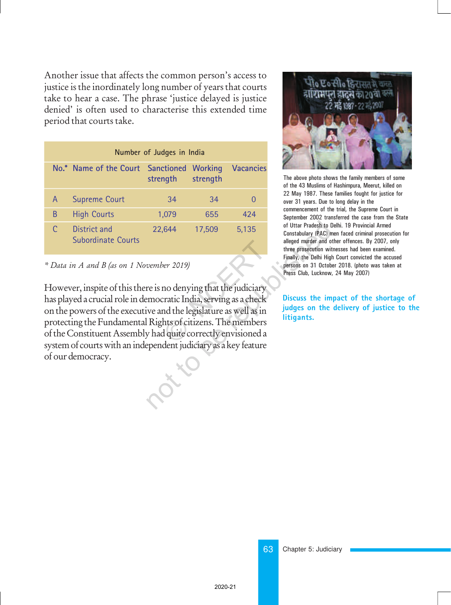Another issue that affects the common person's access to justice is the inordinately long number of years that courts take to hear a case. The phrase ëjustice delayed is justice denied' is often used to characterise this extended time period that courts take.

| Number of Judges in India |                                           |                                       |          |                  |  |  |
|---------------------------|-------------------------------------------|---------------------------------------|----------|------------------|--|--|
|                           | No.* Name of the Court                    | <b>Sanctioned Working</b><br>strength | strength | <b>Vacancies</b> |  |  |
| A                         | <b>Supreme Court</b>                      | 34                                    | 34       |                  |  |  |
| B                         | <b>High Courts</b>                        | 1,079                                 | 655      | 424              |  |  |
|                           | District and<br><b>Subordinate Courts</b> | 22,644                                | 17,509   | 5,135            |  |  |

#### \* Data in A and B (as on 1 November 2019)

However, inspite of this there is no denying that the judiciary has played a crucial role in democratic India, serving as a check on the powers of the executive and the legislature as well as in protecting the Fundamental Rights of citizens. The members of the Constituent Assembly had quite correctly envisioned a system of courts with an independent judiciary as a key feature of our democracy. per 2019)<br>no denying that the judiciary<br>pratic India, serving as a check<br>nd the legislature as well as in<br>hts of citizens. The members<br>d quite correctly envisioned a 22,644 17,509 5,135 of Uttar Pradesh to L<br>
Constabulary (PAC) m<br>
alleged murder and o<br>
three prosecution with<br>
rinally, the Delhi High<br>
persons on 31 Octob<br>
Press Club, Lucknow,<br>
Press Club, Lucknow,<br>
Press Club, Lucknow,



The above photo shows the family members of some of the 43 Muslims of Hashimpura, Meerut, killed on 22 May 1987. These families fought for justice for over 31 years. Due to long delay in the commencement of the trial, the Supreme Court in September 2002 transferred the case from the State of Uttar Pradesh to Delhi. 19 Provincial Armed Constabulary (PAC) men faced criminal prosecution for alleged murder and other offences. By 2007, only three prosecution witnesses had been examined. Finally, the Delhi High Court convicted the accused persons on 31 October 2018. (photo was taken at Press Club, Lucknow, 24 May 2007)

**Discuss the impact of the shortage of judges on the delivery of justice to the litigants.**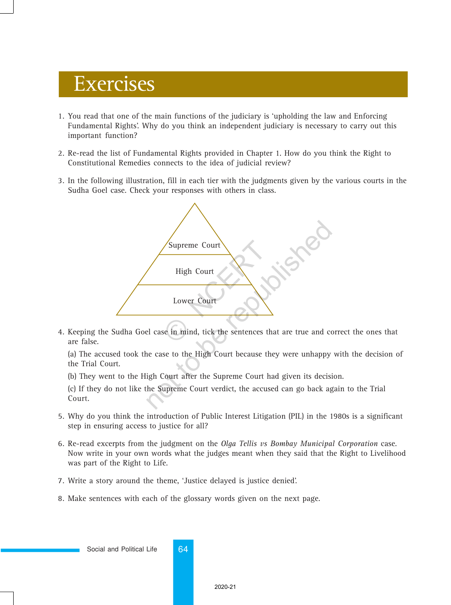# Exercises

- 1. You read that one of the main functions of the judiciary is 'upholding the law and Enforcing Fundamental Rights'. Why do you think an independent judiciary is necessary to carry out this important function?
- 2. Re-read the list of Fundamental Rights provided in Chapter 1. How do you think the Right to Constitutional Remedies connects to the idea of judicial review?
- 3. In the following illustration, fill in each tier with the judgments given by the various courts in the Sudha Goel case. Check your responses with others in class.



4. Keeping the Sudha Goel case in mind, tick the sentences that are true and correct the ones that are false.

(a) The accused took the case to the High Court because they were unhappy with the decision of the Trial Court.

(b) They went to the High Court after the Supreme Court had given its decision.

(c) If they do not like the Supreme Court verdict, the accused can go back again to the Trial Court.

- 5. Why do you think the introduction of Public Interest Litigation (PIL) in the 1980s is a significant step in ensuring access to justice for all?
- 6. Re-read excerpts from the judgment on the *Olga Tellis vs Bombay Municipal Corporation* case. Now write in your own words what the judges meant when they said that the Right to Livelihood was part of the Right to Life.
- 7. Write a story around the theme, 'Justice delayed is justice denied'.
- 8. Make sentences with each of the glossary words given on the next page.